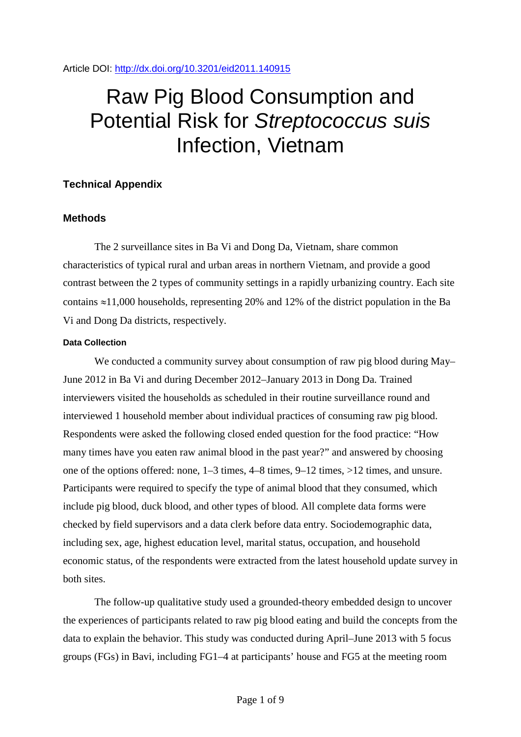Article DOI:<http://dx.doi.org/10.3201/eid2011.140915>

# Raw Pig Blood Consumption and Potential Risk for *Streptococcus suis* Infection, Vietnam

# **Technical Appendix**

## **Methods**

The 2 surveillance sites in Ba Vi and Dong Da, Vietnam, share common characteristics of typical rural and urban areas in northern Vietnam, and provide a good contrast between the 2 types of community settings in a rapidly urbanizing country. Each site contains ≈11,000 households, representing 20% and 12% of the district population in the Ba Vi and Dong Da districts, respectively.

## **Data Collection**

We conducted a community survey about consumption of raw pig blood during May– June 2012 in Ba Vi and during December 2012–January 2013 in Dong Da. Trained interviewers visited the households as scheduled in their routine surveillance round and interviewed 1 household member about individual practices of consuming raw pig blood. Respondents were asked the following closed ended question for the food practice: "How many times have you eaten raw animal blood in the past year?" and answered by choosing one of the options offered: none, 1–3 times, 4–8 times, 9–12 times, >12 times, and unsure. Participants were required to specify the type of animal blood that they consumed, which include pig blood, duck blood, and other types of blood. All complete data forms were checked by field supervisors and a data clerk before data entry. Sociodemographic data, including sex, age, highest education level, marital status, occupation, and household economic status, of the respondents were extracted from the latest household update survey in both sites.

The follow-up qualitative study used a grounded-theory embedded design to uncover the experiences of participants related to raw pig blood eating and build the concepts from the data to explain the behavior. This study was conducted during April–June 2013 with 5 focus groups (FGs) in Bavi, including FG1–4 at participants' house and FG5 at the meeting room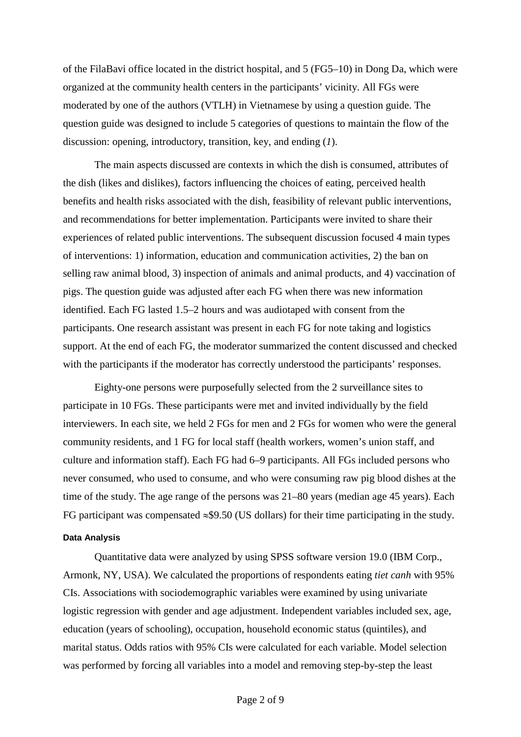of the FilaBavi office located in the district hospital, and 5 (FG5–10) in Dong Da, which were organized at the community health centers in the participants' vicinity. All FGs were moderated by one of the authors (VTLH) in Vietnamese by using a question guide. The question guide was designed to include 5 categories of questions to maintain the flow of the discussion: opening, introductory, transition, key, and ending (*1*).

The main aspects discussed are contexts in which the dish is consumed, attributes of the dish (likes and dislikes), factors influencing the choices of eating, perceived health benefits and health risks associated with the dish, feasibility of relevant public interventions, and recommendations for better implementation. Participants were invited to share their experiences of related public interventions. The subsequent discussion focused 4 main types of interventions: 1) information, education and communication activities, 2) the ban on selling raw animal blood, 3) inspection of animals and animal products, and 4) vaccination of pigs. The question guide was adjusted after each FG when there was new information identified. Each FG lasted 1.5–2 hours and was audiotaped with consent from the participants. One research assistant was present in each FG for note taking and logistics support. At the end of each FG, the moderator summarized the content discussed and checked with the participants if the moderator has correctly understood the participants' responses.

Eighty-one persons were purposefully selected from the 2 surveillance sites to participate in 10 FGs. These participants were met and invited individually by the field interviewers. In each site, we held 2 FGs for men and 2 FGs for women who were the general community residents, and 1 FG for local staff (health workers, women's union staff, and culture and information staff). Each FG had 6–9 participants. All FGs included persons who never consumed, who used to consume, and who were consuming raw pig blood dishes at the time of the study. The age range of the persons was 21–80 years (median age 45 years). Each FG participant was compensated ≈\$9.50 (US dollars) for their time participating in the study.

#### **Data Analysis**

Quantitative data were analyzed by using SPSS software version 19.0 (IBM Corp., Armonk, NY, USA). We calculated the proportions of respondents eating *tiet canh* with 95% CIs. Associations with sociodemographic variables were examined by using univariate logistic regression with gender and age adjustment. Independent variables included sex, age, education (years of schooling), occupation, household economic status (quintiles), and marital status. Odds ratios with 95% CIs were calculated for each variable. Model selection was performed by forcing all variables into a model and removing step-by-step the least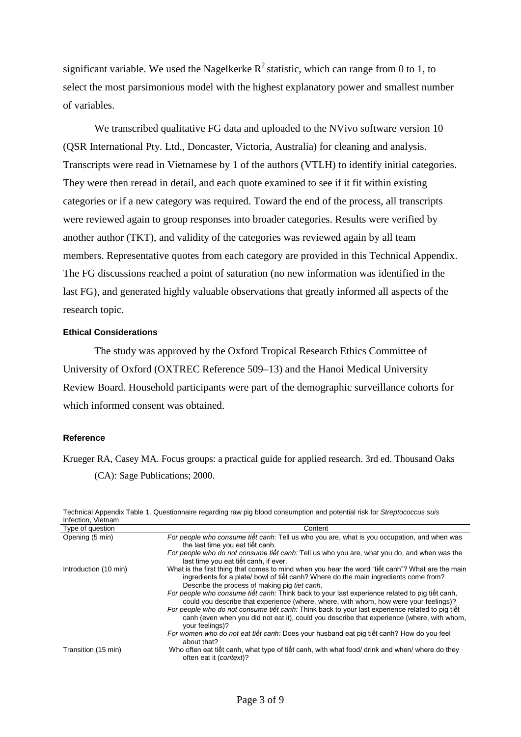significant variable. We used the Nagelkerke  $R^2$  statistic, which can range from 0 to 1, to select the most parsimonious model with the highest explanatory power and smallest number of variables.

We transcribed qualitative FG data and uploaded to the NVivo software version 10 (QSR International Pty. Ltd., Doncaster, Victoria, Australia) for cleaning and analysis. Transcripts were read in Vietnamese by 1 of the authors (VTLH) to identify initial categories. They were then reread in detail, and each quote examined to see if it fit within existing categories or if a new category was required. Toward the end of the process, all transcripts were reviewed again to group responses into broader categories. Results were verified by another author (TKT), and validity of the categories was reviewed again by all team members. Representative quotes from each category are provided in this Technical Appendix. The FG discussions reached a point of saturation (no new information was identified in the last FG), and generated highly valuable observations that greatly informed all aspects of the research topic.

#### **Ethical Considerations**

The study was approved by the Oxford Tropical Research Ethics Committee of University of Oxford (OXTREC Reference 509–13) and the Hanoi Medical University Review Board. Household participants were part of the demographic surveillance cohorts for which informed consent was obtained.

## **Reference**

Krueger RA, Casey MA. Focus groups: a practical guide for applied research. 3rd ed. Thousand Oaks (CA): Sage Publications; 2000.

| infection, vietnam    |                                                                                                                                                                                                                                           |
|-----------------------|-------------------------------------------------------------------------------------------------------------------------------------------------------------------------------------------------------------------------------------------|
| Type of question      | Content                                                                                                                                                                                                                                   |
| Opening (5 min)       | For people who consume tiết canh: Tell us who you are, what is you occupation, and when was<br>the last time you eat tiết canh.                                                                                                           |
|                       | For people who do not consume tiết canh: Tell us who you are, what you do, and when was the<br>last time you eat tiết canh, if ever.                                                                                                      |
| Introduction (10 min) | What is the first thing that comes to mind when you hear the word "tiết canh"? What are the main<br>ingredients for a plate/ bowl of tiết canh? Where do the main ingredients come from?<br>Describe the process of making pig tiet canh. |
|                       | For people who consume tiết canh: Think back to your last experience related to pig tiết canh,<br>could you describe that experience (where, where, with whom, how were your feelings)?                                                   |
|                       | For people who do not consume tiết canh: Think back to your last experience related to piq tiết<br>canh (even when you did not eat it), could you describe that experience (where, with whom,<br>your feelings)?                          |
|                       | For women who do not eat tiết canh: Does your husband eat pig tiết canh? How do you feel<br>about that?                                                                                                                                   |
| Transition (15 min)   | Who often eat tiết canh, what type of tiết canh, with what food/ drink and when/ where do they<br>often eat it (context)?                                                                                                                 |

Technical Appendix Table 1. Questionnaire regarding raw pig blood consumption and potential risk for *Streptococcus suis* Infection, Vietnam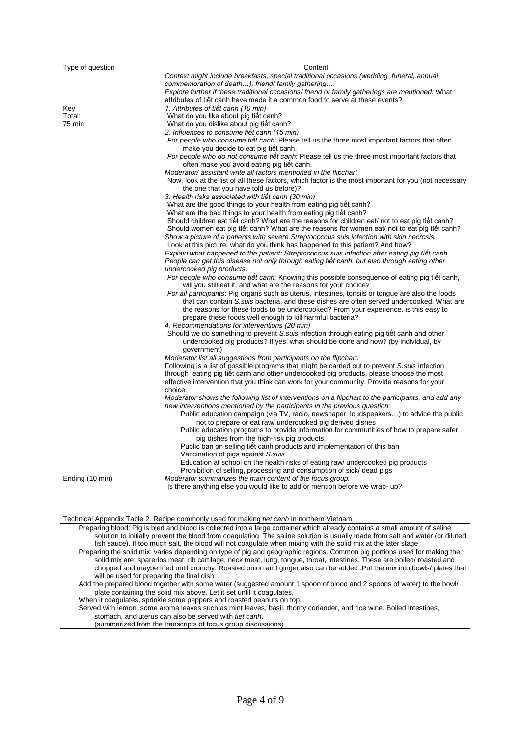| Type of question | Content                                                                                               |
|------------------|-------------------------------------------------------------------------------------------------------|
|                  | Context might include breakfasts, special traditional occasions (wedding, funeral, annual             |
|                  | commemoration of death), friend/family gathering                                                      |
|                  | Explore further if these traditional occasions/ friend or family gatherings are mentioned: What       |
|                  | attributes of tiết canh have made it a common food to serve at these events?                          |
| Key              | 1. Attributes of tiết canh (10 min)                                                                   |
| Total:           | What do you like about pig tiết canh?                                                                 |
| 75 min           | What do you dislike about pig tiết canh?                                                              |
|                  | 2. Influences to consume tiết canh (15 min)                                                           |
|                  | For people who consume tiet canh: Please tell us the three most important factors that often          |
|                  | make you decide to eat pig tiết canh.                                                                 |
|                  | For people who do not consume tiet canh: Please tell us the three most important factors that         |
|                  | often make you avoid eating pig tiệt canh.                                                            |
|                  | Moderator/assistant write all factors mentioned in the flipchart                                      |
|                  | Now, look at the list of all these factors, which factor is the most important for you (not necessary |
|                  | the one that you have told us before)?                                                                |
|                  | 3. Health risks associated with tiêt canh (30 min)                                                    |
|                  | What are the good things to your health from eating pig tiết canh?                                    |
|                  | What are the bad things to your health from eating pig tiết canh?                                     |
|                  | Should children eat tiết canh? What are the reasons for children eat/ not to eat pig tiết canh?       |
|                  | Should women eat pig tiết canh? What are the reasons for women eat/ not to eat pig tiết canh?         |
|                  | Show a picture of a patients with severe Streptococcus suis infection with skin necrosis.             |
|                  | Look at this picture, what do you think has happened to this patient? And how?                        |
|                  | Explain what happened to the patient: Streptococcus suis infection after eating pig tiêt canh.        |
|                  | People can get this disease not only through eating tiết canh, but also through eating other          |
|                  | undercooked pig products.                                                                             |
|                  | For people who consume tiết canh: Knowing this possible consequence of eating pig tiết canh,          |
|                  | will you still eat it, and what are the reasons for your choice?                                      |
|                  | For all participants: Pig organs such as uterus, intestines, tonsils or tongue are also the foods     |
|                  | that can contain S. suis bacteria, and these dishes are often served undercooked. What are            |
|                  | the reasons for these foods to be undercooked? From your experience, is this easy to                  |
|                  | prepare these foods well enough to kill harmful bacteria?                                             |
|                  | 4. Recommendations for interventions (20 min)                                                         |
|                  | Should we do something to prevent S.suis infection through eating pig tiet canh and other             |
|                  | undercooked pig products? If yes, what should be done and how? (by individual, by                     |
|                  | government)                                                                                           |
|                  | Moderator list all suggestions from participants on the flipchart.                                    |
|                  | Following is a list of possible programs that might be carried out to prevent S. suis infection       |
|                  | through eating pig tiết canh and other undercooked pig products, please choose the most               |
|                  | effective intervention that you think can work for your community. Provide reasons for your           |
|                  | choice.                                                                                               |
|                  | Moderator shows the following list of interventions on a flipchart to the participants, and add any   |
|                  | new interventions mentioned by the participants in the previous question:                             |
|                  | Public education campaign (via TV, radio, newspaper, loudspeakers) to advice the public               |
|                  | not to prepare or eat raw/ undercooked pig derived dishes                                             |
|                  | Public education programs to provide information for communities of how to prepare safer              |
|                  | pig dishes from the high-risk pig products.                                                           |
|                  | Public ban on selling tiết canh products and implementation of this ban                               |
|                  | Vaccination of pigs against S.suis                                                                    |
|                  | Education at school on the health risks of eating raw/ undercooked pig products                       |
|                  | Prohibition of selling, processing and consumption of sick/dead pigs                                  |
| Ending (10 min)  | Moderator summarizes the main content of the focus group.                                             |
|                  | Is there anything else you would like to add or mention before we wrap-up?                            |

Technical Appendix Table 2. Recipe commonly used for making *tiet canh* in northern Vietnam

Preparing blood: Pig is bled and blood is collected into a large container which already contains a small amount of saline solution to initially prevent the blood from coagulating. The saline solution is usually made from salt and water (or diluted fish sauce). If too much salt, the blood will not coagulate when mixing with the solid mix at the later stage.

Preparing the solid mix: varies depending on type of pig and geographic regions. Common pig portions used for making the solid mix are: spareribs meat, rib cartilage, neck meat, lung, tongue, throat, intestines. These are boiled/ roasted and chopped and maybe fried until crunchy. Roasted onion and ginger also can be added .Put the mix into bowls/ plates that will be used for preparing the final dish.

Add the prepared blood together with some water (suggested amount 1 spoon of blood and 2 spoons of water) to the bowl/ plate containing the solid mix above. Let it set until it coagulates.

When it coagulates, sprinkle some peppers and roasted peanuts on top.

Served with lemon, some aroma leaves such as mint leaves, basil, thorny coriander, and rice wine. Boiled intestines,

stomach, and uterus can also be served with *tiet canh*.

(summarized from the transcripts of focus group discussions)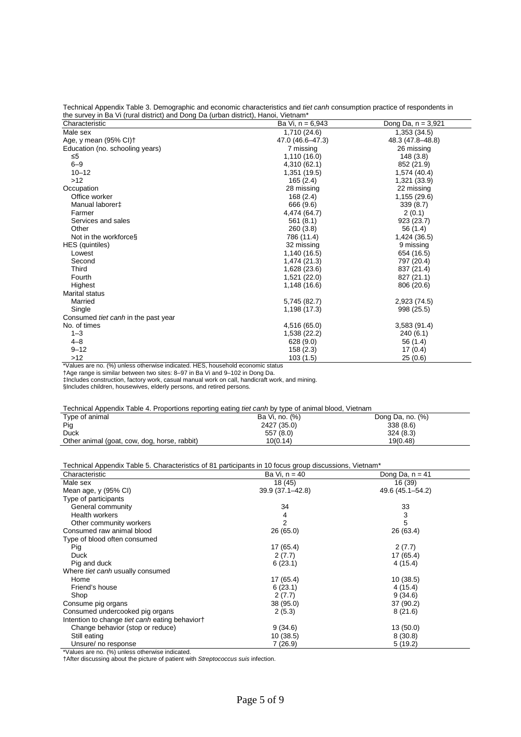Technical Appendix Table 3. Demographic and economic characteristics and *tiet canh* consumption practice of respondents in the survey in Ba Vi (rural district) and Dong Da (urban district), Hanoi, Vietnam\*

| Characteristic                      | Ba Vi, n = 6,943 | Dong Da, $n = 3,921$ |
|-------------------------------------|------------------|----------------------|
| Male sex                            | 1,710 (24.6)     | 1,353(34.5)          |
| Age, y mean (95% CI) <sup>+</sup>   | 47.0 (46.6-47.3) | 48.3 (47.8-48.8)     |
| Education (no. schooling years)     | 7 missing        | 26 missing           |
| ≤5                                  | 1,110 (16.0)     | 148 (3.8)            |
| $6 - 9$                             | 4,310 (62.1)     | 852 (21.9)           |
| $10 - 12$                           | 1,351 (19.5)     | 1,574 (40.4)         |
| $>12$                               | 165(2.4)         | 1,321 (33.9)         |
| Occupation                          | 28 missing       | 22 missing           |
| Office worker                       | 168(2.4)         | 1,155 (29.6)         |
| Manual laborer <sup>+</sup>         | 666 (9.6)        | 339(8.7)             |
| Farmer                              | 4,474 (64.7)     | 2(0.1)               |
| Services and sales                  | 561(8.1)         | 923 (23.7)           |
| Other                               | 260 (3.8)        | 56 (1.4)             |
| Not in the workforces               | 786 (11.4)       | 1,424 (36.5)         |
| HES (quintiles)                     | 32 missing       | 9 missing            |
| Lowest                              | 1,140 (16.5)     | 654 (16.5)           |
| Second                              | 1,474 (21.3)     | 797 (20.4)           |
| Third                               | 1,628 (23.6)     | 837 (21.4)           |
| Fourth                              | 1,521 (22.0)     | 827 (21.1)           |
| Highest                             | 1,148 (16.6)     | 806 (20.6)           |
| <b>Marital status</b>               |                  |                      |
| Married                             | 5,745 (82.7)     | 2,923 (74.5)         |
| Single                              | 1,198 (17.3)     | 998 (25.5)           |
| Consumed tiet canh in the past year |                  |                      |
| No. of times                        | 4,516 (65.0)     | 3,583(91.4)          |
| $1 - 3$                             | 1,538 (22.2)     | 240(6.1)             |
| $4 - 8$                             | 628 (9.0)        | 56 (1.4)             |
| $9 - 12$                            | 158(2.3)         | 17(0.4)              |
| $>12$                               | 103(1.5)         | 25(0.6)              |

\*Values are no. (%) unless otherwise indicated. HES, household economic status

†Age range is similar between two sites: 8–97 in Ba Vi and 9–102 in Dong Da.

‡Includes construction, factory work, casual manual work on call, handicraft work, and mining.

§Includes children, housewives, elderly persons, and retired persons.

#### Technical Appendix Table 4. Proportions reporting eating *tiet canh* by type of animal blood, Vietnam

| Type of animal                               | Ba Vi, no. (%) | Dong Da, no. (%) |
|----------------------------------------------|----------------|------------------|
| Pig                                          | 2427 (35.0)    | 338(8.6)         |
| <b>Duck</b>                                  | 557 (8.0)      | 324(8.3)         |
| Other animal (goat, cow, dog, horse, rabbit) | 10(0.14)       | 19(0.48)         |

#### Technical Appendix Table 5. Characteristics of 81 participants in 10 focus group discussions, Vietnam\*

| Characteristic                                 | Ba Vi, n = 40    | Dong Da, $n = 41$ |
|------------------------------------------------|------------------|-------------------|
| Male sex                                       | 18 (45)          | 16 (39)           |
| Mean age, $y$ (95% CI)                         | 39.9 (37.1-42.8) | 49.6 (45.1–54.2)  |
| Type of participants                           |                  |                   |
| General community                              | 34               | 33                |
| Health workers                                 | 4                | 3                 |
| Other community workers                        | 2                | 5                 |
| Consumed raw animal blood                      | 26(65.0)         | 26 (63.4)         |
| Type of blood often consumed                   |                  |                   |
| Pig                                            | 17 (65.4)        | 2(7.7)            |
| <b>Duck</b>                                    | 2(7.7)           | 17 (65.4)         |
| Pig and duck                                   | 6(23.1)          | 4(15.4)           |
| Where tiet canh usually consumed               |                  |                   |
| Home                                           | 17 (65.4)        | 10(38.5)          |
| Friend's house                                 | 6(23.1)          | 4(15.4)           |
| Shop                                           | 2(7.7)           | 9(34.6)           |
| Consume pig organs                             | 38 (95.0)        | 37 (90.2)         |
| Consumed undercooked pig organs                | 2(5.3)           | 8(21.6)           |
| Intention to change tiet canh eating behaviort |                  |                   |
| Change behavior (stop or reduce)               | 9(34.6)          | 13(50.0)          |
| Still eating                                   | 10(38.5)         | 8(30.8)           |
| Unsure/ no response                            | 7(26.9)          | 5(19.2)           |

\*Values are no. (%) unless otherwise indicated.

†After discussing about the picture of patient with *Streptococcus suis* infection.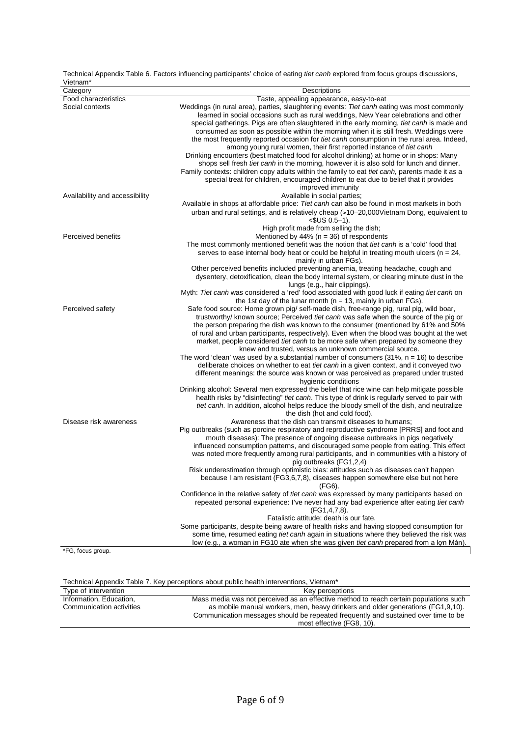| Vietnam*                       |                                                                                                                                                                           |
|--------------------------------|---------------------------------------------------------------------------------------------------------------------------------------------------------------------------|
| Category                       | Descriptions                                                                                                                                                              |
| Food characteristics           | Taste, appealing appearance, easy-to-eat                                                                                                                                  |
| Social contexts                | Weddings (in rural area), parties, slaughtering events: Tiet canh eating was most commonly                                                                                |
|                                | learned in social occasions such as rural weddings, New Year celebrations and other                                                                                       |
|                                | special gatherings. Pigs are often slaughtered in the early morning, <i>tiet canh</i> is made and                                                                         |
|                                | consumed as soon as possible within the morning when it is still fresh. Weddings were                                                                                     |
|                                | the most frequently reported occasion for tiet canh consumption in the rural area. Indeed,                                                                                |
|                                | among young rural women, their first reported instance of tiet canh                                                                                                       |
|                                | Drinking encounters (best matched food for alcohol drinking) at home or in shops: Many                                                                                    |
|                                | shops sell fresh <i>tiet canh</i> in the morning, however it is also sold for lunch and dinner.                                                                           |
|                                | Family contexts: children copy adults within the family to eat <i>tiet canh</i> , parents made it as a                                                                    |
|                                | special treat for children, encouraged children to eat due to belief that it provides                                                                                     |
|                                | improved immunity                                                                                                                                                         |
| Availability and accessibility | Available in social parties;                                                                                                                                              |
|                                |                                                                                                                                                                           |
|                                | Available in shops at affordable price: Tiet canh can also be found in most markets in both                                                                               |
|                                | urban and rural settings, and is relatively cheap $(\approx 10-20,000$ Vietnam Dong, equivalent to                                                                        |
|                                | $<$ SUS 0.5–1).                                                                                                                                                           |
|                                | High profit made from selling the dish;                                                                                                                                   |
| Perceived benefits             | Mentioned by 44% ( $n = 36$ ) of respondents                                                                                                                              |
|                                | The most commonly mentioned benefit was the notion that <i>tiet canh</i> is a 'cold' food that                                                                            |
|                                | serves to ease internal body heat or could be helpful in treating mouth ulcers ( $n = 24$ ,                                                                               |
|                                | mainly in urban FGs).                                                                                                                                                     |
|                                | Other perceived benefits included preventing anemia, treating headache, cough and                                                                                         |
|                                | dysentery, detoxification, clean the body internal system, or clearing minute dust in the                                                                                 |
|                                | lungs (e.g., hair clippings).                                                                                                                                             |
|                                | Myth: Tiet canh was considered a 'red' food associated with good luck if eating tiet canh on                                                                              |
|                                | the 1st day of the lunar month ( $n = 13$ , mainly in urban FGs).                                                                                                         |
| Perceived safety               | Safe food source: Home grown pig/self-made dish, free-range pig, rural pig, wild boar,                                                                                    |
|                                | trustworthy/ known source; Perceived tiet canh was safe when the source of the pig or                                                                                     |
|                                | the person preparing the dish was known to the consumer (mentioned by 61% and 50%                                                                                         |
|                                | of rural and urban participants, respectively). Even when the blood was bought at the wet                                                                                 |
|                                | market, people considered tiet canh to be more safe when prepared by someone they                                                                                         |
|                                | knew and trusted, versus an unknown commercial source.                                                                                                                    |
|                                | The word 'clean' was used by a substantial number of consumers $(31\% , n = 16)$ to describe                                                                              |
|                                | deliberate choices on whether to eat tiet canh in a given context, and it conveyed two                                                                                    |
|                                | different meanings: the source was known or was perceived as prepared under trusted                                                                                       |
|                                | hygienic conditions                                                                                                                                                       |
|                                | Drinking alcohol: Several men expressed the belief that rice wine can help mitigate possible                                                                              |
|                                | health risks by "disinfecting" <i>tiet canh</i> . This type of drink is regularly served to pair with                                                                     |
|                                | tiet canh. In addition, alcohol helps reduce the bloody smell of the dish, and neutralize                                                                                 |
|                                | the dish (hot and cold food).                                                                                                                                             |
| Disease risk awareness         | Awareness that the dish can transmit diseases to humans;                                                                                                                  |
|                                |                                                                                                                                                                           |
|                                | Pig outbreaks (such as porcine respiratory and reproductive syndrome [PRRS] and foot and<br>mouth diseases): The presence of ongoing disease outbreaks in pigs negatively |
|                                |                                                                                                                                                                           |
|                                | influenced consumption patterns, and discouraged some people from eating. This effect                                                                                     |
|                                | was noted more frequently among rural participants, and in communities with a history of                                                                                  |
|                                | pig outbreaks (FG1,2,4)                                                                                                                                                   |
|                                | Risk underestimation through optimistic bias: attitudes such as diseases can't happen                                                                                     |
|                                | because I am resistant (FG3,6,7,8), diseases happen somewhere else but not here                                                                                           |
|                                | (FG6).                                                                                                                                                                    |
|                                | Confidence in the relative safety of <i>tiet canh</i> was expressed by many participants based on                                                                         |
|                                | repeated personal experience: I've never had any bad experience after eating tiet canh                                                                                    |
|                                | (FG1, 4, 7, 8).                                                                                                                                                           |
|                                | Fatalistic attitude: death is our fate.                                                                                                                                   |
|                                | Some participants, despite being aware of health risks and having stopped consumption for                                                                                 |
|                                | some time, resumed eating tiet canh again in situations where they believed the risk was                                                                                  |
|                                | low (e.g., a woman in FG10 ate when she was given <i>tiet canh</i> prepared from a lon Mán).                                                                              |
| *FG, focus group.              |                                                                                                                                                                           |

Technical Appendix Table 6. Factors influencing participants' choice of eating *tiet canh* explored from focus groups discussions,

Technical Appendix Table 7. Key perceptions about public health interventions, Vietnam\* Type of intervention  $\blacksquare$ Information, Education, Communication activities Mass media was not perceived as an effective method to reach certain populations such as mobile manual workers, men, heavy drinkers and older generations (FG1,9,10). Communication messages should be repeated frequently and sustained over time to be most effective (FG8, 10).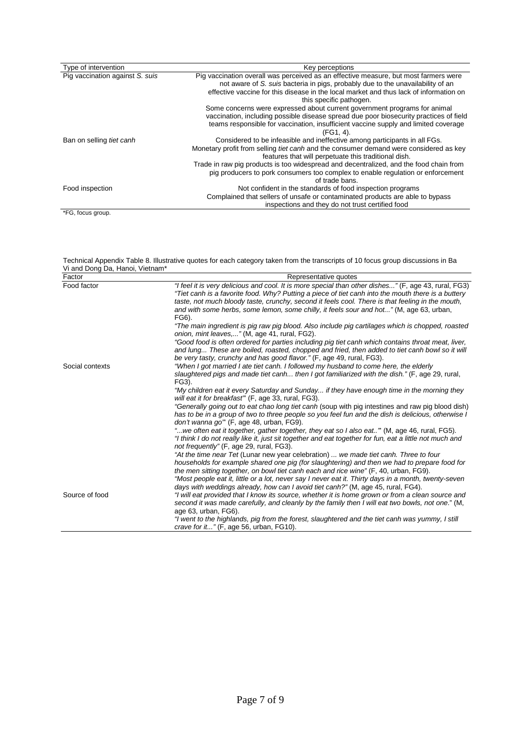| Type of intervention            | Key perceptions                                                                                                                                                                                                                                                                                                                                                                                                                   |
|---------------------------------|-----------------------------------------------------------------------------------------------------------------------------------------------------------------------------------------------------------------------------------------------------------------------------------------------------------------------------------------------------------------------------------------------------------------------------------|
| Pig vaccination against S. suis | Pig vaccination overall was perceived as an effective measure, but most farmers were<br>not aware of S. suis bacteria in pigs, probably due to the unavailability of an<br>effective vaccine for this disease in the local market and thus lack of information on<br>this specific pathogen.                                                                                                                                      |
|                                 | Some concerns were expressed about current government programs for animal<br>vaccination, including possible disease spread due poor biosecurity practices of field<br>teams responsible for vaccination, insufficient vaccine supply and limited coverage<br>$(FG1, 4)$ .                                                                                                                                                        |
| Ban on selling tiet canh        | Considered to be infeasible and ineffective among participants in all FGs.<br>Monetary profit from selling <i>tiet canh</i> and the consumer demand were considered as key<br>features that will perpetuate this traditional dish.<br>Trade in raw pig products is too widespread and decentralized, and the food chain from<br>pig producers to pork consumers too complex to enable regulation or enforcement<br>of trade bans. |
| Food inspection                 | Not confident in the standards of food inspection programs<br>Complained that sellers of unsafe or contaminated products are able to bypass<br>inspections and they do not trust certified food                                                                                                                                                                                                                                   |
| *FG, focus group.               |                                                                                                                                                                                                                                                                                                                                                                                                                                   |

Technical Appendix Table 8. Illustrative quotes for each category taken from the transcripts of 10 focus group discussions in Ba Vi and Dong Da, Hanoi, Vietnam\*

| Factor          | Representative quotes                                                                                                                                                                                                                                                         |
|-----------------|-------------------------------------------------------------------------------------------------------------------------------------------------------------------------------------------------------------------------------------------------------------------------------|
| Food factor     | "I feel it is very delicious and cool. It is more special than other dishes" (F, age 43, rural, FG3)<br>"Tiet canh is a favorite food. Why? Putting a piece of tiet canh into the mouth there is a buttery                                                                    |
|                 | taste, not much bloody taste, crunchy, second it feels cool. There is that feeling in the mouth,<br>and with some herbs, some lemon, some chilly, it feels sour and hot" (M, age 63, urban,<br>FG6).                                                                          |
|                 | "The main ingredient is pig raw pig blood. Also include pig cartilages which is chopped, roasted<br>onion, mint leaves," (M, age 41, rural, FG2).                                                                                                                             |
|                 | "Good food is often ordered for parties including pig tiet canh which contains throat meat, liver,<br>and lung These are boiled, roasted, chopped and fried, then added to tiet canh bowl so it will<br>be very tasty, crunchy and has good flavor." (F, age 49, rural, FG3). |
| Social contexts | "When I got married I ate tiet canh. I followed my husband to come here, the elderly                                                                                                                                                                                          |
|                 | slaughtered pigs and made tiet canh then I got familiarized with the dish." (F, age 29, rural,<br>FG3).                                                                                                                                                                       |
|                 | "My children eat it every Saturday and Sunday if they have enough time in the morning they<br>will eat it for breakfast" (F, age 33, rural, FG3).                                                                                                                             |
|                 | "Generally going out to eat chao long tiet canh (soup with pig intestines and raw pig blood dish)<br>has to be in a group of two to three people so you feel fun and the dish is delicious, otherwise I<br>don't wanna go" (F, age 48, urban, FG9).                           |
|                 | "we often eat it together, gather together, they eat so I also eat" (M, age 46, rural, FG5).<br>"I think I do not really like it, just sit together and eat together for fun, eat a little not much and<br>not frequently" (F, age 29, rural, FG3).                           |
|                 | "At the time near Tet (Lunar new year celebration)  we made tiet canh. Three to four<br>households for example shared one pig (for slaughtering) and then we had to prepare food for<br>the men sitting together, on bowl tiet canh each and rice wine" (F, 40, urban, FG9).  |
|                 | "Most people eat it, little or a lot, never say I never eat it. Thirty days in a month, twenty-seven<br>days with weddings already, how can I avoid tiet canh?" (M, age 45, rural, FG4).                                                                                      |
| Source of food  | "I will eat provided that I know its source, whether it is home grown or from a clean source and<br>second it was made carefully, and cleanly by the family then I will eat two bowls, not one." (M,<br>age 63, urban, FG6).                                                  |
|                 | "I went to the highlands, pig from the forest, slaughtered and the tiet canh was yummy, I still<br>crave for it" (F, age 56, urban, FG10).                                                                                                                                    |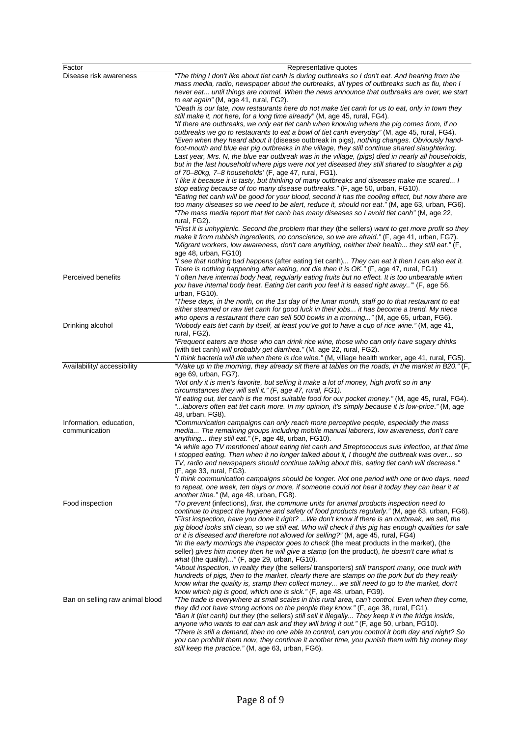| Factor                                   | Representative quotes                                                                                                                                                                                                                                                                                                                                                                                     |
|------------------------------------------|-----------------------------------------------------------------------------------------------------------------------------------------------------------------------------------------------------------------------------------------------------------------------------------------------------------------------------------------------------------------------------------------------------------|
| Disease risk awareness                   | "The thing I don't like about tiet canh is during outbreaks so I don't eat. And hearing from the<br>mass media, radio, newspaper about the outbreaks, all types of outbreaks such as flu, then I<br>never eat until things are normal. When the news announce that outbreaks are over, we start<br>to eat again" (M, age 41, rural, FG2).                                                                 |
|                                          | "Death is our fate, now restaurants here do not make tiet canh for us to eat, only in town they                                                                                                                                                                                                                                                                                                           |
|                                          | still make it, not here, for a long time already" (M, age 45, rural, FG4).<br>"If there are outbreaks, we only eat tiet canh when knowing where the pig comes from, if no                                                                                                                                                                                                                                 |
|                                          | outbreaks we go to restaurants to eat a bowl of tiet canh everyday" (M, age 45, rural, FG4).                                                                                                                                                                                                                                                                                                              |
|                                          | "Even when they heard about it (disease outbreak in pigs), nothing changes. Obviously hand-<br>foot-mouth and blue ear pig outbreaks in the village, they still continue shared slaughtering.<br>Last year, Mrs. N, the blue ear outbreak was in the village, (pigs) died in nearly all households,                                                                                                       |
|                                          | but in the last household where pigs were not yet diseased they still shared to slaughter a pig<br>of 70–80kg, 7–8 households' (F, age 47, rural, FG1).                                                                                                                                                                                                                                                   |
|                                          | I like it because it is tasty, but thinking of many outbreaks and diseases make me scared I<br>stop eating because of too many disease outbreaks." (F, age 50, urban, FG10).<br>"Eating tiet canh will be good for your blood, second it has the cooling effect, but now there are                                                                                                                        |
|                                          | too many diseases so we need to be alert, reduce it, should not eat." (M, age 63, urban, FG6).<br>"The mass media report that tiet canh has many diseases so I avoid tiet canh" (M, age 22,<br>rural, FG2).                                                                                                                                                                                               |
|                                          | "First it is unhygienic. Second the problem that they (the sellers) want to get more profit so they<br>make it from rubbish ingredients, no conscience, so we are afraid." (F, age 41, urban, FG7).<br>"Migrant workers, low awareness, don't care anything, neither their health they still eat." (F,                                                                                                    |
|                                          | age $48$ , urban, $FG10$ )<br>"I see that nothing bad happens (after eating tiet canh) They can eat it then I can also eat it.                                                                                                                                                                                                                                                                            |
| Perceived benefits                       | There is nothing happening after eating, not die then it is OK." (F, age 47, rural, FG1)<br>"I often have internal body heat, regularly eating fruits but no effect. It is too unbearable when<br>you have internal body heat. Eating tiet canh you feel it is eased right away" (F, age 56,<br>urban, FG10).                                                                                             |
|                                          | "These days, in the north, on the 1st day of the lunar month, staff go to that restaurant to eat<br>either steamed or raw tiet canh for good luck in their jobs it has become a trend. My niece                                                                                                                                                                                                           |
| Drinking alcohol                         | who opens a restaurant there can sell 500 bowls in a morning" (M, age 65, urban, FG6).<br>"Nobody eats tiet canh by itself, at least you've got to have a cup of rice wine." (M, age 41,<br>rural, FG2).                                                                                                                                                                                                  |
|                                          | "Frequent eaters are those who can drink rice wine, those who can only have sugary drinks<br>(with tiet canh) will probably get diarrhea." (M, age 22, rural, FG2).                                                                                                                                                                                                                                       |
| Availability/ accessibility              | "I think bacteria will die when there is rice wine." (M, village health worker, age 41, rural, FG5).<br>"Wake up in the morning, they already sit there at tables on the roads, in the market in B20." (F,                                                                                                                                                                                                |
|                                          | age 69, urban, FG7).<br>"Not only it is men's favorite, but selling it make a lot of money, high profit so in any                                                                                                                                                                                                                                                                                         |
|                                          | circumstances they will sell it." (F, age 47, rural, FG1).                                                                                                                                                                                                                                                                                                                                                |
|                                          | "If eating out, tiet canh is the most suitable food for our pocket money." (M, age 45, rural, FG4).<br>laborers often eat tiet canh more. In my opinion, it's simply because it is low-price." (M, age<br>48, urban, FG8).                                                                                                                                                                                |
| Information, education,<br>communication | "Communication campaigns can only reach more perceptive people, especially the mass<br>media The remaining groups including mobile manual laborers, low awareness, don't care<br>anything they still eat." (F, age 48, urban, FG10).                                                                                                                                                                      |
|                                          | "A while ago TV mentioned about eating tiet canh and Streptococcus suis infection, at that time<br>I stopped eating. Then when it no longer talked about it, I thought the outbreak was over so                                                                                                                                                                                                           |
|                                          | TV, radio and newspapers should continue talking about this, eating tiet canh will decrease."<br>(F, age 33, rural, FG3).<br>"I think communication campaigns should be longer. Not one period with one or two days, need                                                                                                                                                                                 |
|                                          | to repeat, one week, ten days or more, if someone could not hear it today they can hear it at<br>another time." (M, age 48, urban, FG8).                                                                                                                                                                                                                                                                  |
| Food inspection                          | "To prevent (infections), first, the commune units for animal products inspection need to<br>continue to inspect the hygiene and safety of food products regularly." (M, age 63, urban, FG6).<br>"First inspection, have you done it right? We don't know if there is an outbreak, we sell, the<br>pig blood looks still clean, so we still eat. Who will check if this pig has enough qualities for sale |
|                                          | or it is diseased and therefore not allowed for selling?" (M, age 45, rural, FG4)<br>"In the early mornings the inspector goes to check (the meat products in the market), (the                                                                                                                                                                                                                           |
|                                          | seller) gives him money then he will give a stamp (on the product), he doesn't care what is<br>what (the quality)" (F, age 29, urban, FG10).<br>"About inspection, in reality they (the sellers/ transporters) still transport many, one truck with                                                                                                                                                       |
|                                          | hundreds of pigs, then to the market, clearly there are stamps on the pork but do they really<br>know what the quality is, stamp then collect money we still need to go to the market, don't                                                                                                                                                                                                              |
| Ban on selling raw animal blood          | know which pig is good, which one is sick." (F, age 48, urban, FG9).<br>"The trade is everywhere at small scales in this rural area, can't control. Even when they come,<br>they did not have strong actions on the people they know." (F, age 38, rural, FG1).<br>"Ban it (tiet canh) but they (the sellers) still sell it illegally They keep it in the fridge inside,                                  |
|                                          | anyone who wants to eat can ask and they will bring it out." (F, age 50, urban, FG10).<br>"There is still a demand, then no one able to control, can you control it both day and night? So<br>you can prohibit them now, they continue it another time, you punish them with big money they<br>still keep the practice." (M, age 63, urban, FG6).                                                         |